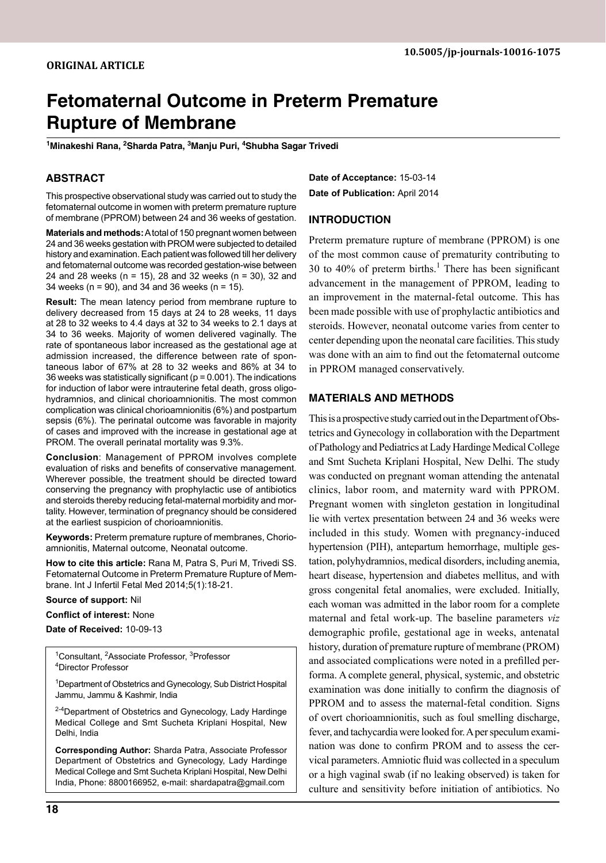# **Fetomaternal Outcome in Preterm Premature Rupture of Membrane**

<sup>1</sup>Minakeshi Rana, <sup>2</sup>Sharda Patra, <sup>3</sup>Manju Puri, <sup>4</sup>Shubha Sagar Trivedi

#### **Abstract**

This prospective observational study was carried out to study the fetomaternal outcome in women with preterm premature rupture of membrane (PPROM) between 24 and 36 weeks of gestation.

**Materials and methods:** A total of 150 pregnant women between 24 and 36 weeks gestation with PROM were subjected to detailed history and examination. Each patient was followed till her delivery and fetomaternal outcome was recorded gestation-wise between 24 and 28 weeks (n = 15), 28 and 32 weeks (n = 30), 32 and 34 weeks (n = 90), and 34 and 36 weeks (n = 15).

**Result:** The mean latency period from membrane rupture to delivery decreased from 15 days at 24 to 28 weeks, 11 days at 28 to 32 weeks to 4.4 days at 32 to 34 weeks to 2.1 days at 34 to 36 weeks. Majority of women delivered vaginally. The rate of spontaneous labor increased as the gestational age at admission increased, the difference between rate of spontaneous labor of 67% at 28 to 32 weeks and 86% at 34 to 36 weeks was statistically significant ( $p = 0.001$ ). The indications for induction of labor were intrauterine fetal death, gross oligohydramnios, and clinical chorioamnionitis. The most common complication was clinical chorioamnionitis (6%) and postpartum sepsis (6%). The perinatal outcome was favorable in majority of cases and improved with the increase in gestational age at PROM. The overall perinatal mortality was 9.3%.

**Conclusion**: Management of PPROM involves complete evaluation of risks and benefits of conservative management. Wherever possible, the treatment should be directed toward conserving the pregnancy with prophylactic use of antibiotics and steroids thereby reducing fetal-maternal morbidity and mortality. However, termination of pregnancy should be considered at the earliest suspicion of chorioamnionitis.

**Keywords:** Preterm premature rupture of membranes, chorioamnionitis, Maternal outcome, Neonatal outcome.

How to cite this article: Rana M, Patra S, Puri M, Trivedi SS. Fetomaternal Outcome in Preterm Premature Rupture of Membrane. Int J Infertil Fetal Med 2014;5(1):18-21.

**Source of support:** Nil

**Conflict of interest:** None

**Date of Received:** 10-09-13

<sup>1</sup>Consultant, <sup>2</sup>Associate Professor, <sup>3</sup>Professor<br><sup>4</sup>Director Professor Director Professor

<sup>1</sup>Department of Obstetrics and Gynecology, Sub District Hospital Jammu, Jammu & Kashmir, India

<sup>2-4</sup>Department of Obstetrics and Gynecology, Lady Hardinge Medical College and Smt Sucheta Kriplani Hospital, New Delhi, India

**Corresponding Author:** Sharda Patra, Associate Professor Department of Obstetrics and Gynecology, Lady Hardinge Medical College and Smt Sucheta Kriplani Hospital, New Delhi India, Phone: 8800166952, e-mail: shardapatra@gmail.com

**Date of Acceptance:** 15-03-14 **Date of Publication:** April 2014

#### **Introduction**

Preterm premature rupture of membrane (PPROM) is one of the most common cause of prematurity contributing to 30 to 40% of preterm births.<sup>1</sup> There has been significant advancement in the management of PPROM, leading to an improvement in the maternal-fetal outcome. This has been made possible with use of prophylactic antibiotics and steroids. However, neonatal outcome varies from center to center depending upon the neonatal care facilities. This study was done with an aim to find out the fetomaternal outcome in PPROM managed conservatively.

### **Materials and Methods**

This is a prospective study carried out in the Department of Obstetrics and Gynecology in collaboration with the Department of Pathology and Pediatrics at Lady Hardinge Medical College and Smt Sucheta Kriplani Hospital, New Delhi. The study was conducted on pregnant woman attending the antenatal clinics, labor room, and maternity ward with PPROM. Pregnant women with singleton gestation in longitudinal lie with vertex presentation between 24 and 36 weeks were included in this study. Women with pregnancy-induced hypertension (PIH), antepartum hemorrhage, multiple gestation, polyhydramnios, medical disorders, including anemia, heart disease, hypertension and diabetes mellitus, and with gross congenital fetal anomalies, were excluded. Initially, each woman was admitted in the labor room for a complete maternal and fetal work-up. The baseline parameters *viz* demographic profile, gestational age in weeks, antenatal history, duration of premature rupture of membrane (PROM) and associated complications were noted in a prefilled performa. A complete general, physical, systemic, and obstetric examination was done initially to confirm the diagnosis of PPROM and to assess the maternal-fetal condition. Signs of overt chorioamnionitis, such as foul smelling discharge, fever, and tachycardia were looked for. A per speculum examination was done to confirm PROM and to assess the cervical parameters. Amniotic fluid was collected in a speculum or a high vaginal swab (if no leaking observed) is taken for culture and sensitivity before initiation of antibiotics. No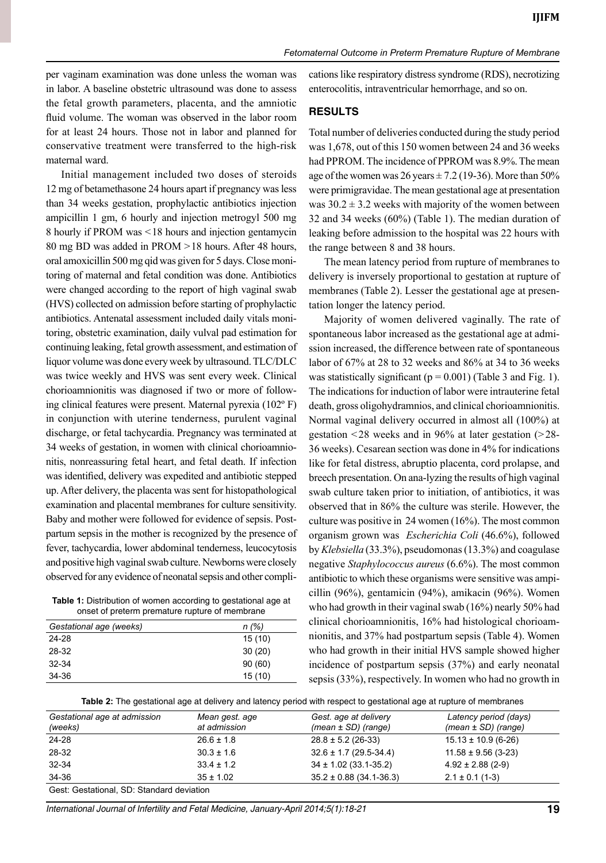per vaginam examination was done unless the woman was in labor. A baseline obstetric ultrasound was done to assess the fetal growth parameters, placenta, and the amniotic fluid volume. The woman was observed in the labor room for at least 24 hours. Those not in labor and planned for conservative treatment were transferred to the high-risk maternal ward.

Initial management included two doses of steroids 12 mg of betamethasone 24 hours apart if pregnancy was less than 34 weeks gestation, prophylactic antibiotics injection ampicillin 1 gm, 6 hourly and injection metrogyl 500 mg 8 hourly if PROM was <18 hours and injection gentamycin 80 mg BD was added in PROM >18 hours. After 48 hours, oral amoxicillin 500 mg qid was given for 5 days. Close monitoring of maternal and fetal condition was done. Antibiotics were changed according to the report of high vaginal swab (HVS) collected on admission before starting of prophylactic antibiotics. Antenatal assessment included daily vitals monitoring, obstetric examination, daily vulval pad estimation for continuing leaking, fetal growth assessment, and estimation of liquor volume was done every week by ultrasound. TLC/DLC was twice weekly and HVS was sent every week. Clinical chorioamnionitis was diagnosed if two or more of following clinical features were present. Maternal pyrexia (102º F) in conjunction with uterine tenderness, purulent vaginal discharge, or fetal tachycardia. Pregnancy was terminated at 34 weeks of gestation, in women with clinical chorioamnionitis, nonreassuring fetal heart, and fetal death. If infection was identified, delivery was expedited and antibiotic stepped up. After delivery, the placenta was sent for histopathological examination and placental membranes for culture sensitivity. Baby and mother were followed for evidence of sepsis. Postpartum sepsis in the mother is recognized by the presence of fever, tachycardia, lower abdominal tenderness, leucocytosis and positive high vaginal swab culture. Newborns were closely observed for any evidence of neonatal sepsis and other compli-

**Table 1:** Distribution of women according to gestational age at onset of preterm premature rupture of membrane

| Gestational age (weeks) | n(%)   |
|-------------------------|--------|
| 24-28                   | 15(10) |
| 28-32                   | 30(20) |
| $32 - 34$               | 90(60) |
| 34-36                   | 15(10) |

cations like respiratory distress syndrome (RDS), necrotizing enterocolitis, intraventricular hemorrhage, and so on.

## **Results**

Total number of deliveries conducted during the study period was 1,678, out of this 150 women between 24 and 36 weeks had PPROM. The incidence of PPROM was 8.9%. The mean age of the women was  $26$  years  $\pm$  7.2 (19-36). More than 50% were primigravidae. The mean gestational age at presentation was  $30.2 \pm 3.2$  weeks with majority of the women between 32 and 34 weeks (60%) (Table 1). The median duration of leaking before admission to the hospital was 22 hours with the range between 8 and 38 hours.

The mean latency period from rupture of membranes to delivery is inversely proportional to gestation at rupture of membranes (Table 2). Lesser the gestational age at presentation longer the latency period.

Majority of women delivered vaginally. The rate of spontaneous labor increased as the gestational age at admission increased, the difference between rate of spontaneous labor of 67% at 28 to 32 weeks and 86% at 34 to 36 weeks was statistically significant ( $p = 0.001$ ) (Table 3 and Fig. 1). The indications for induction of labor were intrauterine fetal death, gross oligohydramnios, and clinical chorioamnionitis. Normal vaginal delivery occurred in almost all (100%) at gestation <28 weeks and in 96% at later gestation (>28- 36 weeks). Cesarean section was done in 4% for indications like for fetal distress, abruptio placenta, cord prolapse, and breech presentation. On ana-lyzing the results of high vaginal swab culture taken prior to initiation, of antibiotics, it was observed that in 86% the culture was sterile. However, the culture was positive in 24 women (16%). The most common organism grown was *Escherichia coli* (46.6%), followed by *Klebsiella* (33.3%), pseudomonas (13.3%) and coagulase negative *staphylococcus aureus* (6.6%). The most common antibiotic to which these organisms were sensitive was ampicillin (96%), gentamicin (94%), amikacin (96%). Women who had growth in their vaginal swab (16%) nearly 50% had clinical chorioamnionitis, 16% had histological chorioamnionitis, and 37% had postpartum sepsis (Table 4). Women who had growth in their initial HVS sample showed higher incidence of postpartum sepsis (37%) and early neonatal sepsis (33%), respectively. In women who had no growth in

**Table 2:** The gestational age at delivery and latency period with respect to gestational age at rupture of membranes

| Gestational age at admission<br>(weeks)   | Mean gest, age<br>at admission | Gest. age at delivery<br>$(mean \pm SD)$ (range) | Latency period (days)<br>$(mean \pm SD)$ (range) |  |
|-------------------------------------------|--------------------------------|--------------------------------------------------|--------------------------------------------------|--|
| 24-28                                     | $26.6 \pm 1.8$                 | $28.8 \pm 5.2$ (26-33)                           | $15.13 \pm 10.9$ (6-26)                          |  |
| 28-32                                     | $30.3 \pm 1.6$                 | $32.6 \pm 1.7$ (29.5-34.4)                       | $11.58 \pm 9.56$ (3-23)                          |  |
| $32 - 34$                                 | $33.4 \pm 1.2$                 | $34 \pm 1.02$ (33.1-35.2)                        | $4.92 \pm 2.88$ (2-9)                            |  |
| 34-36                                     | $35 \pm 1.02$                  | $35.2 \pm 0.88$ (34.1-36.3)                      | $2.1 \pm 0.1$ (1-3)                              |  |
| Gest: Gestational, SD: Standard deviation |                                |                                                  |                                                  |  |

*International Journal of Infertility and Fetal Medicine, January-April 2014;5(1):18-21* **19**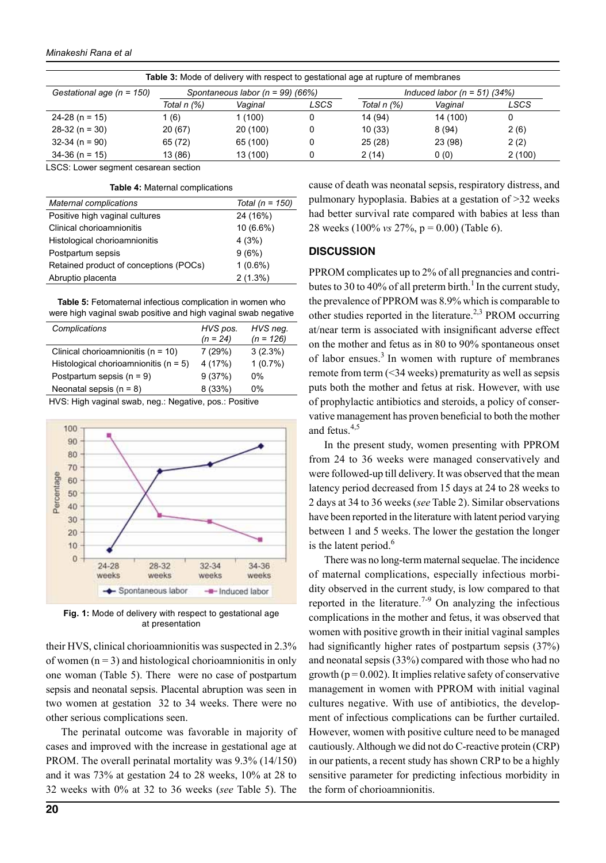| <b>Table 3:</b> Mode of delivery with respect to gestational age at rupture of membranes |                                      |          |      |                                  |          |        |
|------------------------------------------------------------------------------------------|--------------------------------------|----------|------|----------------------------------|----------|--------|
| Gestational age ( $n = 150$ )                                                            | Spontaneous labor ( $n = 99$ ) (66%) |          |      | Induced labor ( $n = 51$ ) (34%) |          |        |
|                                                                                          | Total n (%)                          | Vaginal  | LSCS | Total n (%)                      | Vaginal  | LSCS   |
| $24-28$ (n = 15)                                                                         | (6)                                  | 1 (100)  | 0    | 14 (94)                          | 14 (100) | 0      |
| $28-32(n=30)$                                                                            | 20 (67)                              | 20(100)  | 0    | 10(33)                           | 8(94)    | 2(6)   |
| $32-34$ (n = 90)                                                                         | 65 (72)                              | 65 (100) |      | 25(28)                           | 23 (98)  | 2(2)   |
| $34-36$ (n = 15)                                                                         | 13 (86)                              | 13 (100) | 0    | 2(14)                            | 0(0)     | 2(100) |

LSCS: Lower segment cesarean section

**Table 4:** Maternal complications

| <b>Maternal complications</b>          | Total ( $n = 150$ ) |
|----------------------------------------|---------------------|
| Positive high vaginal cultures         | 24 (16%)            |
| Clinical chorioamnionitis              | 10 (6.6%)           |
| Histological chorioamnionitis          | 4(3%)               |
| Postpartum sepsis                      | 9(6%)               |
| Retained product of conceptions (POCs) | $1(0.6\%)$          |
| Abruptio placenta                      | $2(1.3\%)$          |

**Table 5:** Fetomaternal infectious complication in women who were high vaginal swab positive and high vaginal swab negative

| Complications                                                                             | HVS pos.   | HVS neg.    |
|-------------------------------------------------------------------------------------------|------------|-------------|
|                                                                                           | $(n = 24)$ | $(n = 126)$ |
| Clinical chorioamnionitis ( $n = 10$ )                                                    | 7(29%)     | $3(2.3\%)$  |
| Histological chorioamnionitis ( $n = 5$ )                                                 | 4 (17%)    | 1(0.7%)     |
| Postpartum sepsis $(n = 9)$                                                               | 9(37%)     | $0\%$       |
| Neonatal sepsis $(n = 8)$                                                                 | 8(33%)     | $0\%$       |
| $\mathbf{u} \cdot \mathbf{v} = \mathbf{v} \cdot \mathbf{v} = \mathbf{v} \cdot \mathbf{v}$ |            |             |

HVS: High vaginal swab, neg.: Negative, pos.: Positive



**Fig. 1:** mode of delivery with respect to gestational age at presentation

their HVS, clinical chorioamnionitis was suspected in 2.3% of women  $(n = 3)$  and histological chorioamnionitis in only one woman (Table 5). There were no case of postpartum sepsis and neonatal sepsis. Placental abruption was seen in two women at gestation 32 to 34 weeks. There were no other serious complications seen.

The perinatal outcome was favorable in majority of cases and improved with the increase in gestational age at PROM. The overall perinatal mortality was 9.3% (14/150) and it was 73% at gestation 24 to 28 weeks, 10% at 28 to 32 weeks with 0% at 32 to 36 weeks (*see* Table 5). The

cause of death was neonatal sepsis, respiratory distress, and pulmonary hypoplasia. Babies at a gestation of >32 weeks had better survival rate compared with babies at less than 28 weeks (100% *vs* 27%, p = 0.00) (Table 6).

### **Discussion**

PPROM complicates up to 2% of all pregnancies and contributes to 30 to 40% of all preterm birth.<sup>1</sup> In the current study, the prevalence of PPROM was 8.9% which is comparable to other studies reported in the literature.<sup>2,3</sup> PROM occurring at/near term is associated with insignificant adverse effect on the mother and fetus as in 80 to 90% spontaneous onset of labor ensues.<sup>3</sup> In women with rupture of membranes remote from term (<34 weeks) prematurity as well as sepsis puts both the mother and fetus at risk. However, with use of prophylactic antibiotics and steroids, a policy of conservative management has proven beneficial to both the mother and fetus. $4,5$ 

In the present study, women presenting with PPROM from 24 to 36 weeks were managed conservatively and were followed-up till delivery. It was observed that the mean latency period decreased from 15 days at 24 to 28 weeks to 2 days at 34 to 36 weeks (*see* Table 2). Similar observations have been reported in the literature with latent period varying between 1 and 5 weeks. The lower the gestation the longer is the latent period. $6$ 

There was no long-term maternal sequelae. The incidence of maternal complications, especially infectious morbidity observed in the current study, is low compared to that reported in the literature.<sup>7-9</sup> On analyzing the infectious complications in the mother and fetus, it was observed that women with positive growth in their initial vaginal samples had significantly higher rates of postpartum sepsis (37%) and neonatal sepsis (33%) compared with those who had no growth ( $p = 0.002$ ). It implies relative safety of conservative management in women with PPROM with initial vaginal cultures negative. With use of antibiotics, the development of infectious complications can be further curtailed. However, women with positive culture need to be managed cautiously. Although we did not do C-reactive protein (CRP) in our patients, a recent study has shown CRP to be a highly sensitive parameter for predicting infectious morbidity in the form of chorioamnionitis.